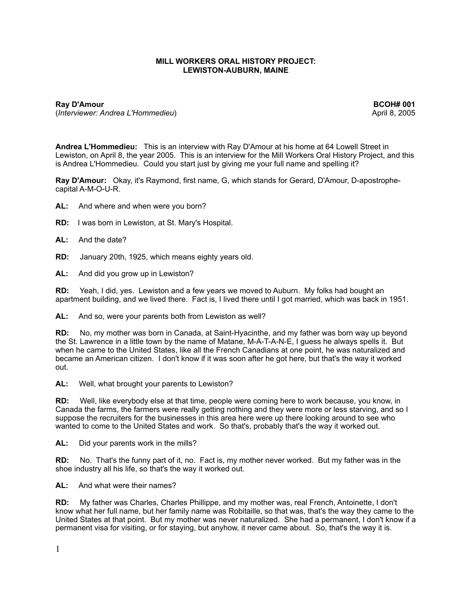# **MILL WORKERS ORAL HISTORY PROJECT: LEWISTON-AUBURN, MAINE**

**Ray D'Amour BCOH# 001** (*Interviewer: Andrea L'Hommedieu*) April 8, 2005

**Andrea L'Hommedieu:** This is an interview with Ray D'Amour at his home at 64 Lowell Street in Lewiston, on April 8, the year 2005. This is an interview for the Mill Workers Oral History Project, and this is Andrea L'Hommedieu. Could you start just by giving me your full name and spelling it?

**Ray D'Amour:** Okay, it's Raymond, first name, G, which stands for Gerard, D'Amour, D-apostrophecapital A-M-O-U-R.

- **AL:** And where and when were you born?
- **RD:** I was born in Lewiston, at St. Mary's Hospital.
- **AL:** And the date?
- **RD:** January 20th, 1925, which means eighty years old.
- **AL:** And did you grow up in Lewiston?

**RD:** Yeah, I did, yes. Lewiston and a few years we moved to Auburn. My folks had bought an apartment building, and we lived there. Fact is, I lived there until I got married, which was back in 1951.

**AL:** And so, were your parents both from Lewiston as well?

**RD:** No, my mother was born in Canada, at Saint-Hyacinthe, and my father was born way up beyond the St. Lawrence in a little town by the name of Matane, M-A-T-A-N-E, I guess he always spells it. But when he came to the United States, like all the French Canadians at one point, he was naturalized and became an American citizen. I don't know if it was soon after he got here, but that's the way it worked out.

**AL:** Well, what brought your parents to Lewiston?

**RD:** Well, like everybody else at that time, people were coming here to work because, you know, in Canada the farms, the farmers were really getting nothing and they were more or less starving, and so I suppose the recruiters for the businesses in this area here were up there looking around to see who wanted to come to the United States and work. So that's, probably that's the way it worked out.

**AL:** Did your parents work in the mills?

**RD:** No. That's the funny part of it, no. Fact is, my mother never worked. But my father was in the shoe industry all his life, so that's the way it worked out.

**AL:** And what were their names?

**RD:** My father was Charles, Charles Phillippe, and my mother was, real French, Antoinette, I don't know what her full name, but her family name was Robitaille, so that was, that's the way they came to the United States at that point. But my mother was never naturalized. She had a permanent, I don't know if a permanent visa for visiting, or for staying, but anyhow, it never came about. So, that's the way it is.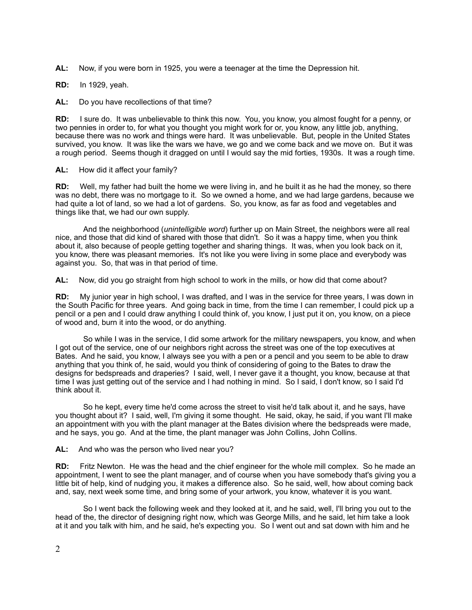**AL:** Now, if you were born in 1925, you were a teenager at the time the Depression hit.

**RD:** In 1929, yeah.

**AL:** Do you have recollections of that time?

**RD:** I sure do. It was unbelievable to think this now. You, you know, you almost fought for a penny, or two pennies in order to, for what you thought you might work for or, you know, any little job, anything, because there was no work and things were hard. It was unbelievable. But, people in the United States survived, you know. It was like the wars we have, we go and we come back and we move on. But it was a rough period. Seems though it dragged on until I would say the mid forties, 1930s. It was a rough time.

### **AL:** How did it affect your family?

**RD:** Well, my father had built the home we were living in, and he built it as he had the money, so there was no debt, there was no mortgage to it. So we owned a home, and we had large gardens, because we had quite a lot of land, so we had a lot of gardens. So, you know, as far as food and vegetables and things like that, we had our own supply.

 And the neighborhood (*unintelligible word*) further up on Main Street, the neighbors were all real nice, and those that did kind of shared with those that didn't. So it was a happy time, when you think about it, also because of people getting together and sharing things. It was, when you look back on it, you know, there was pleasant memories. It's not like you were living in some place and everybody was against you. So, that was in that period of time.

**AL:** Now, did you go straight from high school to work in the mills, or how did that come about?

**RD:** My junior year in high school, I was drafted, and I was in the service for three years, I was down in the South Pacific for three years. And going back in time, from the time I can remember, I could pick up a pencil or a pen and I could draw anything I could think of, you know, I just put it on, you know, on a piece of wood and, burn it into the wood, or do anything.

 So while I was in the service, I did some artwork for the military newspapers, you know, and when I got out of the service, one of our neighbors right across the street was one of the top executives at Bates. And he said, you know, I always see you with a pen or a pencil and you seem to be able to draw anything that you think of, he said, would you think of considering of going to the Bates to draw the designs for bedspreads and draperies? I said, well, I never gave it a thought, you know, because at that time I was just getting out of the service and I had nothing in mind. So I said, I don't know, so I said I'd think about it.

 So he kept, every time he'd come across the street to visit he'd talk about it, and he says, have you thought about it? I said, well, I'm giving it some thought. He said, okay, he said, if you want I'll make an appointment with you with the plant manager at the Bates division where the bedspreads were made, and he says, you go. And at the time, the plant manager was John Collins, John Collins.

#### **AL:** And who was the person who lived near you?

**RD:** Fritz Newton. He was the head and the chief engineer for the whole mill complex. So he made an appointment, I went to see the plant manager, and of course when you have somebody that's giving you a little bit of help, kind of nudging you, it makes a difference also. So he said, well, how about coming back and, say, next week some time, and bring some of your artwork, you know, whatever it is you want.

 So I went back the following week and they looked at it, and he said, well, I'll bring you out to the head of the, the director of designing right now, which was George Mills, and he said, let him take a look at it and you talk with him, and he said, he's expecting you. So I went out and sat down with him and he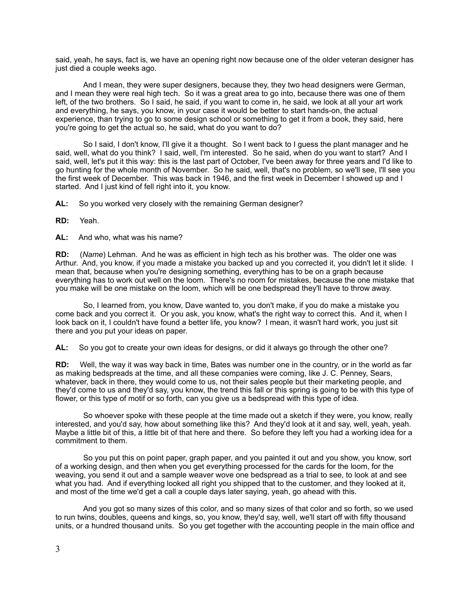said, yeah, he says, fact is, we have an opening right now because one of the older veteran designer has just died a couple weeks ago.

 And I mean, they were super designers, because they, they two head designers were German, and I mean they were real high tech. So it was a great area to go into, because there was one of them left, of the two brothers. So I said, he said, if you want to come in, he said, we look at all your art work and everything, he says, you know, in your case it would be better to start hands-on, the actual experience, than trying to go to some design school or something to get it from a book, they said, here you're going to get the actual so, he said, what do you want to do?

 So I said, I don't know, I'll give it a thought. So I went back to I guess the plant manager and he said, well, what do you think? I said, well, I'm interested. So he said, when do you want to start? And I said, well, let's put it this way: this is the last part of October, I've been away for three years and I'd like to go hunting for the whole month of November. So he said, well, that's no problem, so we'll see, I'll see you the first week of December. This was back in 1946, and the first week in December I showed up and I started. And I just kind of fell right into it, you know.

AL: So you worked very closely with the remaining German designer?

**RD:** Yeah.

**AL:** And who, what was his name?

**RD:** (*Name*) Lehman. And he was as efficient in high tech as his brother was. The older one was Arthur. And, you know, if you made a mistake you backed up and you corrected it, you didn't let it slide. I mean that, because when you're designing something, everything has to be on a graph because everything has to work out well on the loom. There's no room for mistakes, because the one mistake that you make will be one mistake on the loom, which will be one bedspread they'll have to throw away.

 So, I learned from, you know, Dave wanted to, you don't make, if you do make a mistake you come back and you correct it. Or you ask, you know, what's the right way to correct this. And it, when I look back on it, I couldn't have found a better life, you know? I mean, it wasn't hard work, you just sit there and you put your ideas on paper.

**AL:** So you got to create your own ideas for designs, or did it always go through the other one?

**RD:** Well, the way it was way back in time, Bates was number one in the country, or in the world as far as making bedspreads at the time, and all these companies were coming, like J. C. Penney, Sears, whatever, back in there, they would come to us, not their sales people but their marketing people, and they'd come to us and they'd say, you know, the trend this fall or this spring is going to be with this type of flower, or this type of motif or so forth, can you give us a bedspread with this type of idea.

 So whoever spoke with these people at the time made out a sketch if they were, you know, really interested, and you'd say, how about something like this? And they'd look at it and say, well, yeah, yeah. Maybe a little bit of this, a little bit of that here and there. So before they left you had a working idea for a commitment to them.

 So you put this on point paper, graph paper, and you painted it out and you show, you know, sort of a working design, and then when you get everything processed for the cards for the loom, for the weaving, you send it out and a sample weaver wove one bedspread as a trial to see, to look at and see what you had. And if everything looked all right you shipped that to the customer, and they looked at it, and most of the time we'd get a call a couple days later saying, yeah, go ahead with this.

 And you got so many sizes of this color, and so many sizes of that color and so forth, so we used to run twins, doubles, queens and kings, so, you know, they'd say, well, we'll start off with fifty thousand units, or a hundred thousand units. So you get together with the accounting people in the main office and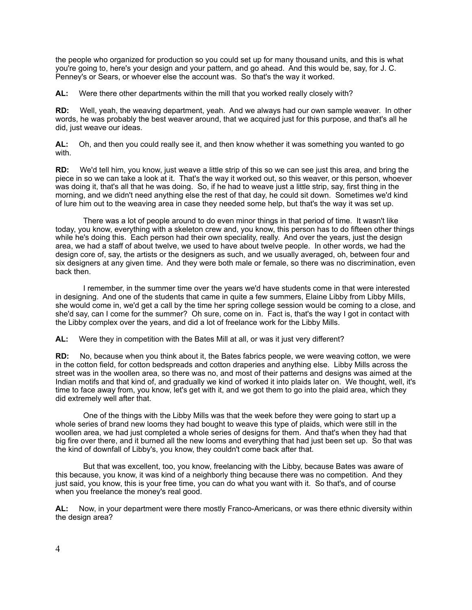the people who organized for production so you could set up for many thousand units, and this is what you're going to, here's your design and your pattern, and go ahead. And this would be, say, for J. C. Penney's or Sears, or whoever else the account was. So that's the way it worked.

AL: Were there other departments within the mill that you worked really closely with?

**RD:** Well, yeah, the weaving department, yeah. And we always had our own sample weaver. In other words, he was probably the best weaver around, that we acquired just for this purpose, and that's all he did, just weave our ideas.

**AL:** Oh, and then you could really see it, and then know whether it was something you wanted to go with.

**RD:** We'd tell him, you know, just weave a little strip of this so we can see just this area, and bring the piece in so we can take a look at it. That's the way it worked out, so this weaver, or this person, whoever was doing it, that's all that he was doing. So, if he had to weave just a little strip, say, first thing in the morning, and we didn't need anything else the rest of that day, he could sit down. Sometimes we'd kind of lure him out to the weaving area in case they needed some help, but that's the way it was set up.

 There was a lot of people around to do even minor things in that period of time. It wasn't like today, you know, everything with a skeleton crew and, you know, this person has to do fifteen other things while he's doing this. Each person had their own speciality, really. And over the years, just the design area, we had a staff of about twelve, we used to have about twelve people. In other words, we had the design core of, say, the artists or the designers as such, and we usually averaged, oh, between four and six designers at any given time. And they were both male or female, so there was no discrimination, even back then.

 I remember, in the summer time over the years we'd have students come in that were interested in designing. And one of the students that came in quite a few summers, Elaine Libby from Libby Mills, she would come in, we'd get a call by the time her spring college session would be coming to a close, and she'd say, can I come for the summer? Oh sure, come on in. Fact is, that's the way I got in contact with the Libby complex over the years, and did a lot of freelance work for the Libby Mills.

**AL:** Were they in competition with the Bates Mill at all, or was it just very different?

**RD:** No, because when you think about it, the Bates fabrics people, we were weaving cotton, we were in the cotton field, for cotton bedspreads and cotton draperies and anything else. Libby Mills across the street was in the woollen area, so there was no, and most of their patterns and designs was aimed at the Indian motifs and that kind of, and gradually we kind of worked it into plaids later on. We thought, well, it's time to face away from, you know, let's get with it, and we got them to go into the plaid area, which they did extremely well after that.

 One of the things with the Libby Mills was that the week before they were going to start up a whole series of brand new looms they had bought to weave this type of plaids, which were still in the woollen area, we had just completed a whole series of designs for them. And that's when they had that big fire over there, and it burned all the new looms and everything that had just been set up. So that was the kind of downfall of Libby's, you know, they couldn't come back after that.

 But that was excellent, too, you know, freelancing with the Libby, because Bates was aware of this because, you know, it was kind of a neighborly thing because there was no competition. And they just said, you know, this is your free time, you can do what you want with it. So that's, and of course when you freelance the money's real good.

**AL:** Now, in your department were there mostly Franco-Americans, or was there ethnic diversity within the design area?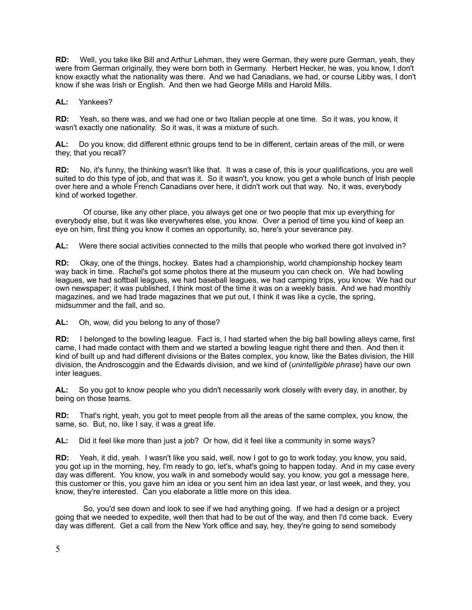**RD:** Well, you take like Bill and Arthur Lehman, they were German, they were pure German, yeah, they were from German originally, they were born both in Germany. Herbert Hecker, he was, you know, I don't know exactly what the nationality was there. And we had Canadians, we had, or course Libby was, I don't know if she was Irish or English. And then we had George Mills and Harold Mills.

**AL:** Yankees?

**RD:** Yeah, so there was, and we had one or two Italian people at one time. So it was, you know, it wasn't exactly one nationality. So it was, it was a mixture of such.

**AL:** Do you know, did different ethnic groups tend to be in different, certain areas of the mill, or were they, that you recall?

**RD:** No, it's funny, the thinking wasn't like that. It was a case of, this is your qualifications, you are well suited to do this type of job, and that was it. So it wasn't, you know, you get a whole bunch of Irish people over here and a whole French Canadians over here, it didn't work out that way. No, it was, everybody kind of worked together.

 Of course, like any other place, you always get one or two people that mix up everything for everybody else, but it was like everywheres else, you know. Over a period of time you kind of keep an eye on him, first thing you know it comes an opportunity, so, here's your severance pay.

**AL:** Were there social activities connected to the mills that people who worked there got involved in?

**RD:** Okay, one of the things, hockey. Bates had a championship, world championship hockey team way back in time. Rachel's got some photos there at the museum you can check on. We had bowling leagues, we had softball leagues, we had baseball leagues, we had camping trips, you know. We had our own newspaper; it was published, I think most of the time it was on a weekly basis. And we had monthly magazines, and we had trade magazines that we put out, I think it was like a cycle, the spring, midsummer and the fall, and so.

**AL:** Oh, wow, did you belong to any of those?

**RD:** I belonged to the bowling league. Fact is, I had started when the big ball bowling alleys came, first came, I had made contact with them and we started a bowling league right there and then. And then it kind of built up and had different divisions or the Bates complex, you know, like the Bates division, the Hill division, the Androscoggin and the Edwards division, and we kind of (*unintelligible phrase*) have our own inter leagues.

**AL:** So you got to know people who you didn't necessarily work closely with every day, in another, by being on those teams.

**RD:** That's right, yeah, you got to meet people from all the areas of the same complex, you know, the same, so. But, no, like I say, it was a great life.

**AL:** Did it feel like more than just a job? Or how, did it feel like a community in some ways?

**RD:** Yeah, it did, yeah. I wasn't like you said, well, now I got to go to work today, you know, you said, you got up in the morning, hey, I'm ready to go, let's, what's going to happen today. And in my case every day was different. You know, you walk in and somebody would say, you know, you got a message here, this customer or this, you gave him an idea or you sent him an idea last year, or last week, and they, you know, they're interested. Can you elaborate a little more on this idea.

 So, you'd see down and look to see if we had anything going. If we had a design or a project going that we needed to expedite, well then that had to be out of the way, and then I'd come back. Every day was different. Get a call from the New York office and say, hey, they're going to send somebody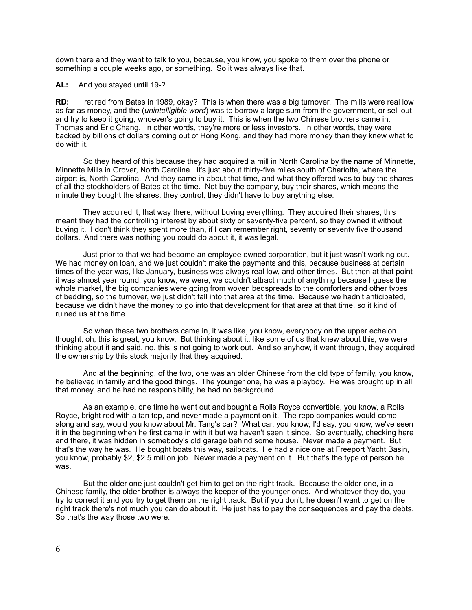down there and they want to talk to you, because, you know, you spoke to them over the phone or something a couple weeks ago, or something. So it was always like that.

#### **AL:** And you stayed until 19-?

**RD:** I retired from Bates in 1989, okay? This is when there was a big turnover. The mills were real low as far as money, and the (*unintelligible word*) was to borrow a large sum from the government, or sell out and try to keep it going, whoever's going to buy it. This is when the two Chinese brothers came in, Thomas and Eric Chang. In other words, they're more or less investors. In other words, they were backed by billions of dollars coming out of Hong Kong, and they had more money than they knew what to do with it.

 So they heard of this because they had acquired a mill in North Carolina by the name of Minnette, Minnette Mills in Grover, North Carolina. It's just about thirty-five miles south of Charlotte, where the airport is, North Carolina. And they came in about that time, and what they offered was to buy the shares of all the stockholders of Bates at the time. Not buy the company, buy their shares, which means the minute they bought the shares, they control, they didn't have to buy anything else.

 They acquired it, that way there, without buying everything. They acquired their shares, this meant they had the controlling interest by about sixty or seventy-five percent, so they owned it without buying it. I don't think they spent more than, if I can remember right, seventy or seventy five thousand dollars. And there was nothing you could do about it, it was legal.

 Just prior to that we had become an employee owned corporation, but it just wasn't working out. We had money on loan, and we just couldn't make the payments and this, because business at certain times of the year was, like January, business was always real low, and other times. But then at that point it was almost year round, you know, we were, we couldn't attract much of anything because I guess the whole market, the big companies were going from woven bedspreads to the comforters and other types of bedding, so the turnover, we just didn't fall into that area at the time. Because we hadn't anticipated, because we didn't have the money to go into that development for that area at that time, so it kind of ruined us at the time.

 So when these two brothers came in, it was like, you know, everybody on the upper echelon thought, oh, this is great, you know. But thinking about it, like some of us that knew about this, we were thinking about it and said, no, this is not going to work out. And so anyhow, it went through, they acquired the ownership by this stock majority that they acquired.

 And at the beginning, of the two, one was an older Chinese from the old type of family, you know, he believed in family and the good things. The younger one, he was a playboy. He was brought up in all that money, and he had no responsibility, he had no background.

 As an example, one time he went out and bought a Rolls Royce convertible, you know, a Rolls Royce, bright red with a tan top, and never made a payment on it. The repo companies would come along and say, would you know about Mr. Tang's car? What car, you know, I'd say, you know, we've seen it in the beginning when he first came in with it but we haven't seen it since. So eventually, checking here and there, it was hidden in somebody's old garage behind some house. Never made a payment. But that's the way he was. He bought boats this way, sailboats. He had a nice one at Freeport Yacht Basin, you know, probably \$2, \$2.5 million job. Never made a payment on it. But that's the type of person he was.

 But the older one just couldn't get him to get on the right track. Because the older one, in a Chinese family, the older brother is always the keeper of the younger ones. And whatever they do, you try to correct it and you try to get them on the right track. But if you don't, he doesn't want to get on the right track there's not much you can do about it. He just has to pay the consequences and pay the debts. So that's the way those two were.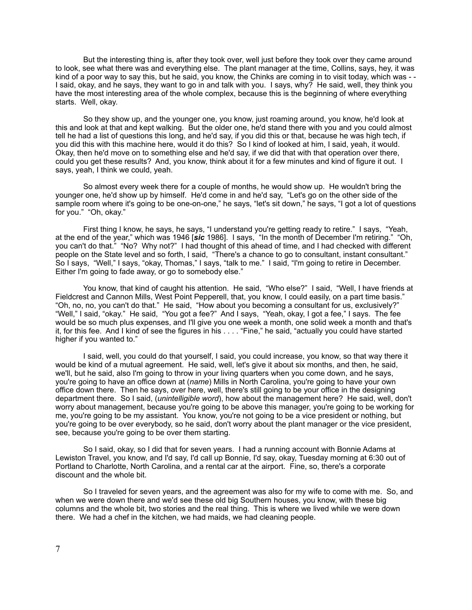But the interesting thing is, after they took over, well just before they took over they came around to look, see what there was and everything else. The plant manager at the time, Collins, says, hey, it was kind of a poor way to say this, but he said, you know, the Chinks are coming in to visit today, which was - - I said, okay, and he says, they want to go in and talk with you. I says, why? He said, well, they think you have the most interesting area of the whole complex, because this is the beginning of where everything starts. Well, okay.

 So they show up, and the younger one, you know, just roaming around, you know, he'd look at this and look at that and kept walking. But the older one, he'd stand there with you and you could almost tell he had a list of questions this long, and he'd say, if you did this or that, because he was high tech, if you did this with this machine here, would it do this? So I kind of looked at him, I said, yeah, it would. Okay, then he'd move on to something else and he'd say, if we did that with that operation over there, could you get these results? And, you know, think about it for a few minutes and kind of figure it out. I says, yeah, I think we could, yeah.

 So almost every week there for a couple of months, he would show up. He wouldn't bring the younger one, he'd show up by himself. He'd come in and he'd say, "Let's go on the other side of the sample room where it's going to be one-on-one," he says, "let's sit down," he says, "I got a lot of questions for you." "Oh, okay."

 First thing I know, he says, he says, "I understand you're getting ready to retire." I says, "Yeah, at the end of the year," which was 1946 [*sic* 1986]. I says, "In the month of December I'm retiring." "Oh, you can't do that." "No? Why not?" I had thought of this ahead of time, and I had checked with different people on the State level and so forth, I said, "There's a chance to go to consultant, instant consultant." So I says, "Well," I says, "okay, Thomas," I says, "talk to me." I said, "I'm going to retire in December. Either I'm going to fade away, or go to somebody else."

You know, that kind of caught his attention. He said, "Who else?" I said, "Well, I have friends at Fieldcrest and Cannon Mills, West Point Pepperell, that, you know, I could easily, on a part time basis." "Oh, no, no, you can't do that." He said, "How about you becoming a consultant for us, exclusively?" "Well," I said, "okay." He said, "You got a fee?" And I says, "Yeah, okay, I got a fee," I says. The fee would be so much plus expenses, and I'll give you one week a month, one solid week a month and that's it, for this fee. And I kind of see the figures in his . . . . "Fine," he said, "actually you could have started higher if you wanted to."

 I said, well, you could do that yourself, I said, you could increase, you know, so that way there it would be kind of a mutual agreement. He said, well, let's give it about six months, and then, he said, we'll, but he said, also I'm going to throw in your living quarters when you come down, and he says, you're going to have an office down at (*name*) Mills in North Carolina, you're going to have your own office down there. Then he says, over here, well, there's still going to be your office in the designing department there. So I said, (*unintelligible word*), how about the management here? He said, well, don't worry about management, because you're going to be above this manager, you're going to be working for me, you're going to be my assistant. You know, you're not going to be a vice president or nothing, but you're going to be over everybody, so he said, don't worry about the plant manager or the vice president, see, because you're going to be over them starting.

 So I said, okay, so I did that for seven years. I had a running account with Bonnie Adams at Lewiston Travel, you know, and I'd say, I'd call up Bonnie, I'd say, okay, Tuesday morning at 6:30 out of Portland to Charlotte, North Carolina, and a rental car at the airport. Fine, so, there's a corporate discount and the whole bit.

 So I traveled for seven years, and the agreement was also for my wife to come with me. So, and when we were down there and we'd see these old big Southern houses, you know, with these big columns and the whole bit, two stories and the real thing. This is where we lived while we were down there. We had a chef in the kitchen, we had maids, we had cleaning people.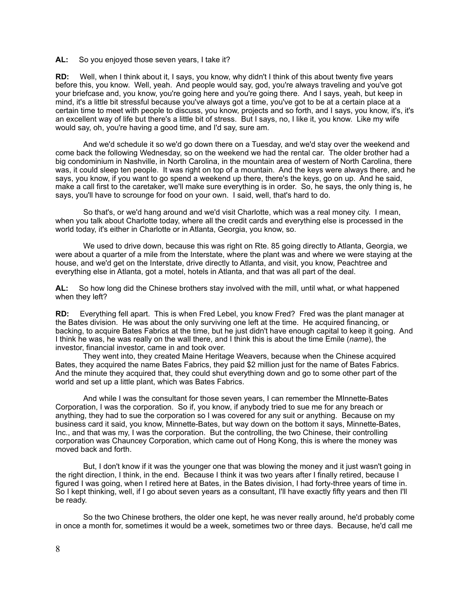#### **AL:** So you enjoyed those seven years, I take it?

**RD:** Well, when I think about it, I says, you know, why didn't I think of this about twenty five years before this, you know. Well, yeah. And people would say, god, you're always traveling and you've got your briefcase and, you know, you're going here and you're going there. And I says, yeah, but keep in mind, it's a little bit stressful because you've always got a time, you've got to be at a certain place at a certain time to meet with people to discuss, you know, projects and so forth, and I says, you know, it's, it's an excellent way of life but there's a little bit of stress. But I says, no, I like it, you know. Like my wife would say, oh, you're having a good time, and I'd say, sure am.

 And we'd schedule it so we'd go down there on a Tuesday, and we'd stay over the weekend and come back the following Wednesday, so on the weekend we had the rental car. The older brother had a big condominium in Nashville, in North Carolina, in the mountain area of western of North Carolina, there was, it could sleep ten people. It was right on top of a mountain. And the keys were always there, and he says, you know, if you want to go spend a weekend up there, there's the keys, go on up. And he said, make a call first to the caretaker, we'll make sure everything is in order. So, he says, the only thing is, he says, you'll have to scrounge for food on your own. I said, well, that's hard to do.

 So that's, or we'd hang around and we'd visit Charlotte, which was a real money city. I mean, when you talk about Charlotte today, where all the credit cards and everything else is processed in the world today, it's either in Charlotte or in Atlanta, Georgia, you know, so.

 We used to drive down, because this was right on Rte. 85 going directly to Atlanta, Georgia, we were about a quarter of a mile from the Interstate, where the plant was and where we were staying at the house, and we'd get on the Interstate, drive directly to Atlanta, and visit, you know, Peachtree and everything else in Atlanta, got a motel, hotels in Atlanta, and that was all part of the deal.

**AL:** So how long did the Chinese brothers stay involved with the mill, until what, or what happened when they left?

**RD:** Everything fell apart. This is when Fred Lebel, you know Fred? Fred was the plant manager at the Bates division. He was about the only surviving one left at the time. He acquired financing, or backing, to acquire Bates Fabrics at the time, but he just didn't have enough capital to keep it going. And I think he was, he was really on the wall there, and I think this is about the time Emile (*name*), the investor, financial investor, came in and took over.

 They went into, they created Maine Heritage Weavers, because when the Chinese acquired Bates, they acquired the name Bates Fabrics, they paid \$2 million just for the name of Bates Fabrics. And the minute they acquired that, they could shut everything down and go to some other part of the world and set up a little plant, which was Bates Fabrics.

 And while I was the consultant for those seven years, I can remember the MInnette-Bates Corporation, I was the corporation. So if, you know, if anybody tried to sue me for any breach or anything, they had to sue the corporation so I was covered for any suit or anything. Because on my business card it said, you know, Minnette-Bates, but way down on the bottom it says, Minnette-Bates, Inc., and that was my, I was the corporation. But the controlling, the two Chinese, their controlling corporation was Chauncey Corporation, which came out of Hong Kong, this is where the money was moved back and forth.

 But, I don't know if it was the younger one that was blowing the money and it just wasn't going in the right direction, I think, in the end. Because I think it was two years after I finally retired, because I figured I was going, when I retired here at Bates, in the Bates division, I had forty-three years of time in. So I kept thinking, well, if I go about seven years as a consultant, I'll have exactly fifty years and then I'll be ready.

 So the two Chinese brothers, the older one kept, he was never really around, he'd probably come in once a month for, sometimes it would be a week, sometimes two or three days. Because, he'd call me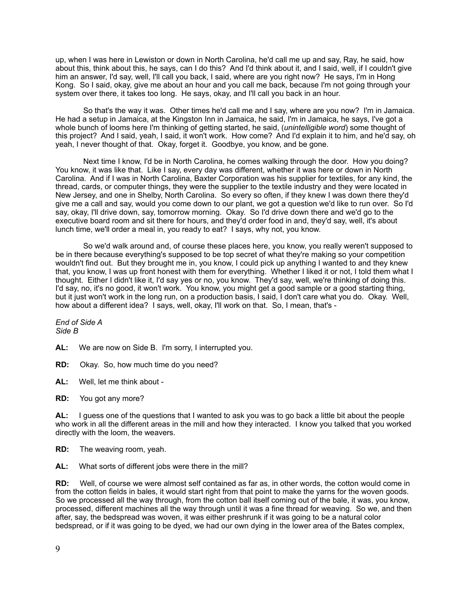up, when I was here in Lewiston or down in North Carolina, he'd call me up and say, Ray, he said, how about this, think about this, he says, can I do this? And I'd think about it, and I said, well, if I couldn't give him an answer, I'd say, well, I'll call you back, I said, where are you right now? He says, I'm in Hong Kong. So I said, okay, give me about an hour and you call me back, because I'm not going through your system over there, it takes too long. He says, okay, and I'll call you back in an hour.

 So that's the way it was. Other times he'd call me and I say, where are you now? I'm in Jamaica. He had a setup in Jamaica, at the Kingston Inn in Jamaica, he said, I'm in Jamaica, he says, I've got a whole bunch of looms here I'm thinking of getting started, he said, (*unintelligible word*) some thought of this project? And I said, yeah, I said, it won't work. How come? And I'd explain it to him, and he'd say, oh yeah, I never thought of that. Okay, forget it. Goodbye, you know, and be gone.

 Next time I know, I'd be in North Carolina, he comes walking through the door. How you doing? You know, it was like that. Like I say, every day was different, whether it was here or down in North Carolina. And if I was in North Carolina, Baxter Corporation was his supplier for textiles, for any kind, the thread, cards, or computer things, they were the supplier to the textile industry and they were located in New Jersey, and one in Shelby, North Carolina. So every so often, if they knew I was down there they'd give me a call and say, would you come down to our plant, we got a question we'd like to run over. So I'd say, okay, I'll drive down, say, tomorrow morning. Okay. So I'd drive down there and we'd go to the executive board room and sit there for hours, and they'd order food in and, they'd say, well, it's about lunch time, we'll order a meal in, you ready to eat? I says, why not, you know.

 So we'd walk around and, of course these places here, you know, you really weren't supposed to be in there because everything's supposed to be top secret of what they're making so your competition wouldn't find out. But they brought me in, you know, I could pick up anything I wanted to and they knew that, you know, I was up front honest with them for everything. Whether I liked it or not, I told them what I thought. Either I didn't like it, I'd say yes or no, you know. They'd say, well, we're thinking of doing this. I'd say, no, it's no good, it won't work. You know, you might get a good sample or a good starting thing, but it just won't work in the long run, on a production basis, I said, I don't care what you do. Okay. Well, how about a different idea? I says, well, okay, I'll work on that. So, I mean, that's -

*End of Side A Side B*

- **AL:** We are now on Side B. I'm sorry, I interrupted you.
- **RD:** Okay. So, how much time do you need?
- **AL:** Well, let me think about -
- **RD:** You got any more?

**AL:** I guess one of the questions that I wanted to ask you was to go back a little bit about the people who work in all the different areas in the mill and how they interacted. I know you talked that you worked directly with the loom, the weavers.

**RD:** The weaving room, yeah.

**AL:** What sorts of different jobs were there in the mill?

**RD:** Well, of course we were almost self contained as far as, in other words, the cotton would come in from the cotton fields in bales, it would start right from that point to make the yarns for the woven goods. So we processed all the way through, from the cotton ball itself coming out of the bale, it was, you know, processed, different machines all the way through until it was a fine thread for weaving. So we, and then after, say, the bedspread was woven, it was either preshrunk if it was going to be a natural color bedspread, or if it was going to be dyed, we had our own dying in the lower area of the Bates complex,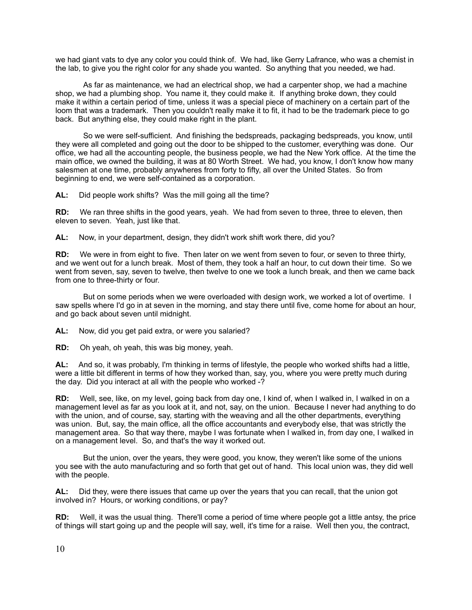we had giant vats to dye any color you could think of. We had, like Gerry Lafrance, who was a chemist in the lab, to give you the right color for any shade you wanted. So anything that you needed, we had.

 As far as maintenance, we had an electrical shop, we had a carpenter shop, we had a machine shop, we had a plumbing shop. You name it, they could make it. If anything broke down, they could make it within a certain period of time, unless it was a special piece of machinery on a certain part of the loom that was a trademark. Then you couldn't really make it to fit, it had to be the trademark piece to go back. But anything else, they could make right in the plant.

 So we were self-sufficient. And finishing the bedspreads, packaging bedspreads, you know, until they were all completed and going out the door to be shipped to the customer, everything was done. Our office, we had all the accounting people, the business people, we had the New York office. At the time the main office, we owned the building, it was at 80 Worth Street. We had, you know, I don't know how many salesmen at one time, probably anywheres from forty to fifty, all over the United States. So from beginning to end, we were self-contained as a corporation.

**AL:** Did people work shifts? Was the mill going all the time?

**RD:** We ran three shifts in the good years, yeah. We had from seven to three, three to eleven, then eleven to seven. Yeah, just like that.

**AL:** Now, in your department, design, they didn't work shift work there, did you?

**RD:** We were in from eight to five. Then later on we went from seven to four, or seven to three thirty, and we went out for a lunch break. Most of them, they took a half an hour, to cut down their time. So we went from seven, say, seven to twelve, then twelve to one we took a lunch break, and then we came back from one to three-thirty or four.

But on some periods when we were overloaded with design work, we worked a lot of overtime. I saw spells where I'd go in at seven in the morning, and stay there until five, come home for about an hour, and go back about seven until midnight.

**AL:** Now, did you get paid extra, or were you salaried?

**RD:** Oh yeah, oh yeah, this was big money, yeah.

**AL:** And so, it was probably, I'm thinking in terms of lifestyle, the people who worked shifts had a little, were a little bit different in terms of how they worked than, say, you, where you were pretty much during the day. Did you interact at all with the people who worked -?

**RD:** Well, see, like, on my level, going back from day one, I kind of, when I walked in, I walked in on a management level as far as you look at it, and not, say, on the union. Because I never had anything to do with the union, and of course, say, starting with the weaving and all the other departments, everything was union. But, say, the main office, all the office accountants and everybody else, that was strictly the management area. So that way there, maybe I was fortunate when I walked in, from day one, I walked in on a management level. So, and that's the way it worked out.

 But the union, over the years, they were good, you know, they weren't like some of the unions you see with the auto manufacturing and so forth that get out of hand. This local union was, they did well with the people.

**AL:** Did they, were there issues that came up over the years that you can recall, that the union got involved in? Hours, or working conditions, or pay?

**RD:** Well, it was the usual thing. There'll come a period of time where people got a little antsy, the price of things will start going up and the people will say, well, it's time for a raise. Well then you, the contract,

10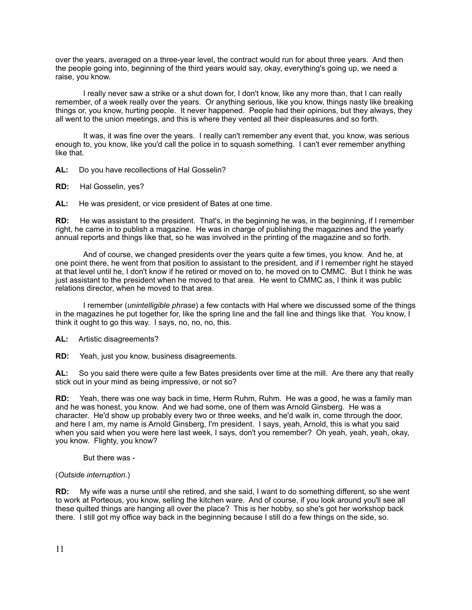over the years, averaged on a three-year level, the contract would run for about three years. And then the people going into, beginning of the third years would say, okay, everything's going up, we need a raise, you know.

 I really never saw a strike or a shut down for, I don't know, like any more than, that I can really remember, of a week really over the years. Or anything serious, like you know, things nasty like breaking things or, you know, hurting people. It never happened. People had their opinions, but they always, they all went to the union meetings, and this is where they vented all their displeasures and so forth.

 It was, it was fine over the years. I really can't remember any event that, you know, was serious enough to, you know, like you'd call the police in to squash something. I can't ever remember anything like that.

**AL:** Do you have recollections of Hal Gosselin?

**RD:** Hal Gosselin, yes?

**AL:** He was president, or vice president of Bates at one time.

**RD:** He was assistant to the president. That's, in the beginning he was, in the beginning, if I remember right, he came in to publish a magazine. He was in charge of publishing the magazines and the yearly annual reports and things like that, so he was involved in the printing of the magazine and so forth.

 And of course, we changed presidents over the years quite a few times, you know. And he, at one point there, he went from that position to assistant to the president, and if I remember right he stayed at that level until he, I don't know if he retired or moved on to, he moved on to CMMC. But I think he was just assistant to the president when he moved to that area. He went to CMMC as, I think it was public relations director, when he moved to that area.

 I remember (*unintelligible phrase*) a few contacts with Hal where we discussed some of the things in the magazines he put together for, like the spring line and the fall line and things like that. You know, I think it ought to go this way. I says, no, no, no, this.

**AL:** Artistic disagreements?

**RD:** Yeah, just you know, business disagreements.

**AL:** So you said there were quite a few Bates presidents over time at the mill. Are there any that really stick out in your mind as being impressive, or not so?

**RD:** Yeah, there was one way back in time, Herm Ruhm, Ruhm. He was a good, he was a family man and he was honest, you know. And we had some, one of them was Arnold Ginsberg. He was a character. He'd show up probably every two or three weeks, and he'd walk in, come through the door, and here I am, my name is Arnold Ginsberg, I'm president. I says, yeah, Arnold, this is what you said when you said when you were here last week, I says, don't you remember? Oh yeah, yeah, yeah, okay, you know. Flighty, you know?

But there was -

# (*Outside interruption.*)

**RD:** My wife was a nurse until she retired, and she said, I want to do something different, so she went to work at Porteous, you know, selling the kitchen ware. And of course, if you look around you'll see all these quilted things are hanging all over the place? This is her hobby, so she's got her workshop back there. I still got my office way back in the beginning because I still do a few things on the side, so.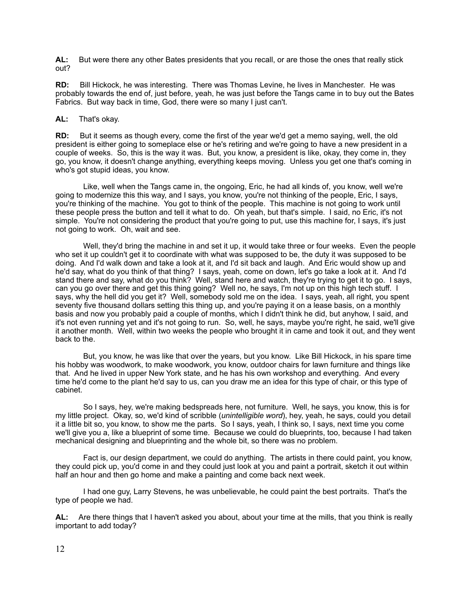**AL:** But were there any other Bates presidents that you recall, or are those the ones that really stick out?

**RD:** Bill Hickock, he was interesting. There was Thomas Levine, he lives in Manchester. He was probably towards the end of, just before, yeah, he was just before the Tangs came in to buy out the Bates Fabrics. But way back in time, God, there were so many I just can't.

# **AL:** That's okay.

**RD:** But it seems as though every, come the first of the year we'd get a memo saying, well, the old president is either going to someplace else or he's retiring and we're going to have a new president in a couple of weeks. So, this is the way it was. But, you know, a president is like, okay, they come in, they go, you know, it doesn't change anything, everything keeps moving. Unless you get one that's coming in who's got stupid ideas, you know.

 Like, well when the Tangs came in, the ongoing, Eric, he had all kinds of, you know, well we're going to modernize this this way, and I says, you know, you're not thinking of the people, Eric, I says, you're thinking of the machine. You got to think of the people. This machine is not going to work until these people press the button and tell it what to do. Oh yeah, but that's simple. I said, no Eric, it's not simple. You're not considering the product that you're going to put, use this machine for, I says, it's just not going to work. Oh, wait and see.

 Well, they'd bring the machine in and set it up, it would take three or four weeks. Even the people who set it up couldn't get it to coordinate with what was supposed to be, the duty it was supposed to be doing. And I'd walk down and take a look at it, and I'd sit back and laugh. And Eric would show up and he'd say, what do you think of that thing? I says, yeah, come on down, let's go take a look at it. And I'd stand there and say, what do you think? Well, stand here and watch, they're trying to get it to go. I says, can you go over there and get this thing going? Well no, he says, I'm not up on this high tech stuff. I says, why the hell did you get it? Well, somebody sold me on the idea. I says, yeah, all right, you spent seventy five thousand dollars setting this thing up, and you're paying it on a lease basis, on a monthly basis and now you probably paid a couple of months, which I didn't think he did, but anyhow, I said, and it's not even running yet and it's not going to run. So, well, he says, maybe you're right, he said, we'll give it another month. Well, within two weeks the people who brought it in came and took it out, and they went back to the.

 But, you know, he was like that over the years, but you know. Like Bill Hickock, in his spare time his hobby was woodwork, to make woodwork, you know, outdoor chairs for lawn furniture and things like that. And he lived in upper New York state, and he has his own workshop and everything. And every time he'd come to the plant he'd say to us, can you draw me an idea for this type of chair, or this type of cabinet.

 So I says, hey, we're making bedspreads here, not furniture. Well, he says, you know, this is for my little project. Okay, so, we'd kind of scribble (*unintelligible word*), hey, yeah, he says, could you detail it a little bit so, you know, to show me the parts. So I says, yeah, I think so, I says, next time you come we'll give you a, like a blueprint of some time. Because we could do blueprints, too, because I had taken mechanical designing and blueprinting and the whole bit, so there was no problem.

 Fact is, our design department, we could do anything. The artists in there could paint, you know, they could pick up, you'd come in and they could just look at you and paint a portrait, sketch it out within half an hour and then go home and make a painting and come back next week.

 I had one guy, Larry Stevens, he was unbelievable, he could paint the best portraits. That's the type of people we had.

**AL:** Are there things that I haven't asked you about, about your time at the mills, that you think is really important to add today?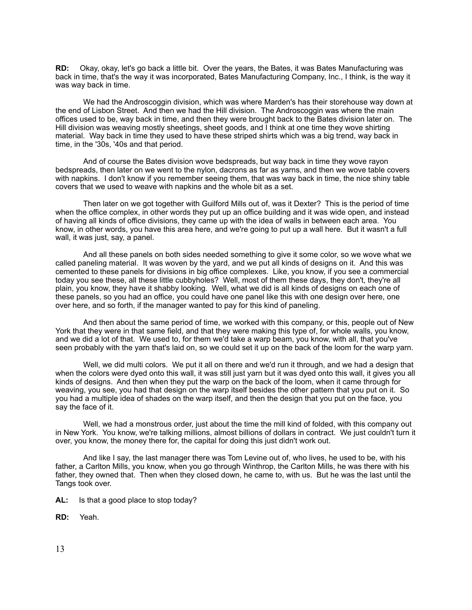**RD:** Okay, okay, let's go back a little bit. Over the years, the Bates, it was Bates Manufacturing was back in time, that's the way it was incorporated, Bates Manufacturing Company, Inc., I think, is the way it was way back in time.

 We had the Androscoggin division, which was where Marden's has their storehouse way down at the end of Lisbon Street. And then we had the Hill division. The Androscoggin was where the main offices used to be, way back in time, and then they were brought back to the Bates division later on. The Hill division was weaving mostly sheetings, sheet goods, and I think at one time they wove shirting material. Way back in time they used to have these striped shirts which was a big trend, way back in time, in the '30s, '40s and that period.

 And of course the Bates division wove bedspreads, but way back in time they wove rayon bedspreads, then later on we went to the nylon, dacrons as far as yarns, and then we wove table covers with napkins. I don't know if you remember seeing them, that was way back in time, the nice shiny table covers that we used to weave with napkins and the whole bit as a set.

 Then later on we got together with Guilford Mills out of, was it Dexter? This is the period of time when the office complex, in other words they put up an office building and it was wide open, and instead of having all kinds of office divisions, they came up with the idea of walls in between each area. You know, in other words, you have this area here, and we're going to put up a wall here. But it wasn't a full wall, it was just, say, a panel.

 And all these panels on both sides needed something to give it some color, so we wove what we called paneling material. It was woven by the yard, and we put all kinds of designs on it. And this was cemented to these panels for divisions in big office complexes. Like, you know, if you see a commercial today you see these, all these little cubbyholes? Well, most of them these days, they don't, they're all plain, you know, they have it shabby looking. Well, what we did is all kinds of designs on each one of these panels, so you had an office, you could have one panel like this with one design over here, one over here, and so forth, if the manager wanted to pay for this kind of paneling.

 And then about the same period of time, we worked with this company, or this, people out of New York that they were in that same field, and that they were making this type of, for whole walls, you know, and we did a lot of that. We used to, for them we'd take a warp beam, you know, with all, that you've seen probably with the yarn that's laid on, so we could set it up on the back of the loom for the warp yarn.

 Well, we did multi colors. We put it all on there and we'd run it through, and we had a design that when the colors were dyed onto this wall, it was still just yarn but it was dyed onto this wall, it gives you all kinds of designs. And then when they put the warp on the back of the loom, when it came through for weaving, you see, you had that design on the warp itself besides the other pattern that you put on it. So you had a multiple idea of shades on the warp itself, and then the design that you put on the face, you say the face of it.

 Well, we had a monstrous order, just about the time the mill kind of folded, with this company out in New York. You know, we're talking millions, almost billions of dollars in contract. We just couldn't turn it over, you know, the money there for, the capital for doing this just didn't work out.

 And like I say, the last manager there was Tom Levine out of, who lives, he used to be, with his father, a Carlton Mills, you know, when you go through Winthrop, the Carlton Mills, he was there with his father, they owned that. Then when they closed down, he came to, with us. But he was the last until the Tangs took over.

- **AL:** Is that a good place to stop today?
- **RD:** Yeah.